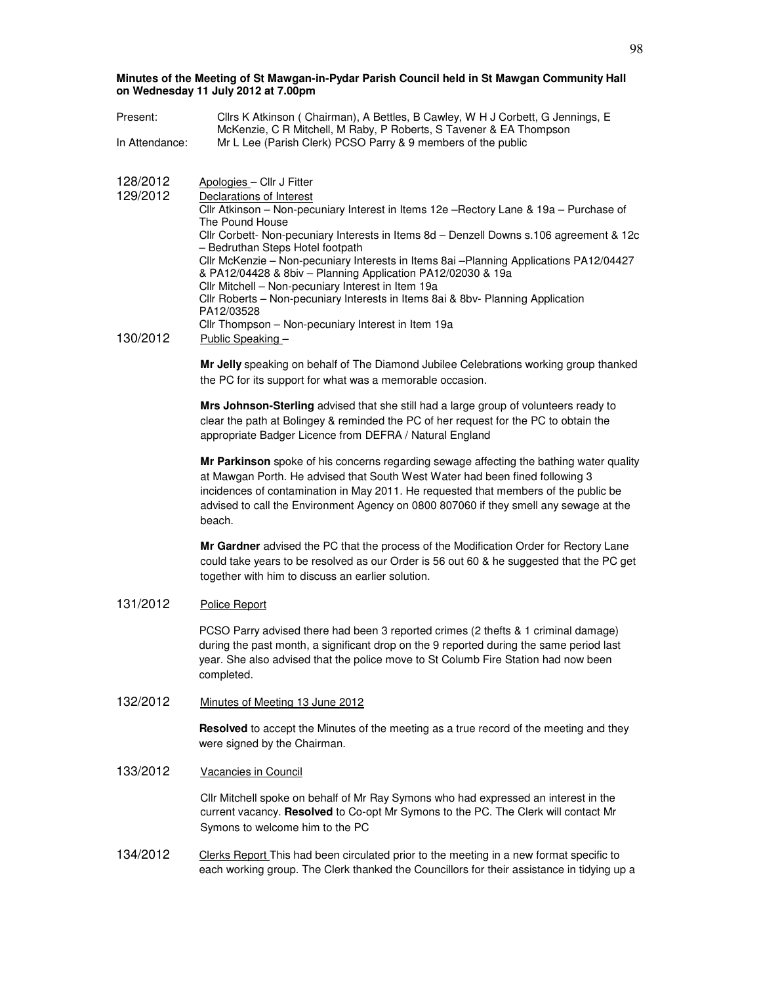- Present: Cllrs K Atkinson ( Chairman), A Bettles, B Cawley, W H J Corbett, G Jennings, E McKenzie, C R Mitchell, M Raby, P Roberts, S Tavener & EA Thompson In Attendance: Mr L Lee (Parish Clerk) PCSO Parry & 9 members of the public
- 128/2012 Apologies Cllr J Fitter

| 129/2012 | Declarations of Interest                                                                                                   |
|----------|----------------------------------------------------------------------------------------------------------------------------|
|          | Cllr Atkinson - Non-pecuniary Interest in Items 12e - Rectory Lane & 19a - Purchase of                                     |
|          | The Pound House                                                                                                            |
|          | Cllr Corbett-Non-pecuniary Interests in Items 8d - Denzell Downs s.106 agreement & 12c<br>- Bedruthan Steps Hotel footpath |
|          | Cllr McKenzie - Non-pecuniary Interests in Items 8ai - Planning Applications PA12/04427                                    |
|          | & PA12/04428 & 8biv – Planning Application PA12/02030 & 19a<br>Cllr Mitchell - Non-pecuniary Interest in Item 19a          |
|          |                                                                                                                            |
|          | Cllr Roberts – Non-pecuniary Interests in Items 8ai & 8by- Planning Application                                            |
|          | PA12/03528                                                                                                                 |
|          | Cllr Thompson – Non-pecuniary Interest in Item 19a                                                                         |
| 130/2012 | Public Speaking -                                                                                                          |

**Mr Jelly** speaking on behalf of The Diamond Jubilee Celebrations working group thanked the PC for its support for what was a memorable occasion.

**Mrs Johnson-Sterling** advised that she still had a large group of volunteers ready to clear the path at Bolingey & reminded the PC of her request for the PC to obtain the appropriate Badger Licence from DEFRA / Natural England

**Mr Parkinson** spoke of his concerns regarding sewage affecting the bathing water quality at Mawgan Porth. He advised that South West Water had been fined following 3 incidences of contamination in May 2011. He requested that members of the public be advised to call the Environment Agency on 0800 807060 if they smell any sewage at the beach.

**Mr Gardner** advised the PC that the process of the Modification Order for Rectory Lane could take years to be resolved as our Order is 56 out 60 & he suggested that the PC get together with him to discuss an earlier solution.

## 131/2012 Police Report

PCSO Parry advised there had been 3 reported crimes (2 thefts & 1 criminal damage) during the past month, a significant drop on the 9 reported during the same period last year. She also advised that the police move to St Columb Fire Station had now been completed.

132/2012 Minutes of Meeting 13 June 2012

**Resolved** to accept the Minutes of the meeting as a true record of the meeting and they were signed by the Chairman.

#### 133/2012 Vacancies in Council

Cllr Mitchell spoke on behalf of Mr Ray Symons who had expressed an interest in the current vacancy. **Resolved** to Co-opt Mr Symons to the PC. The Clerk will contact Mr Symons to welcome him to the PC

134/2012 Clerks Report This had been circulated prior to the meeting in a new format specific to each working group. The Clerk thanked the Councillors for their assistance in tidying up a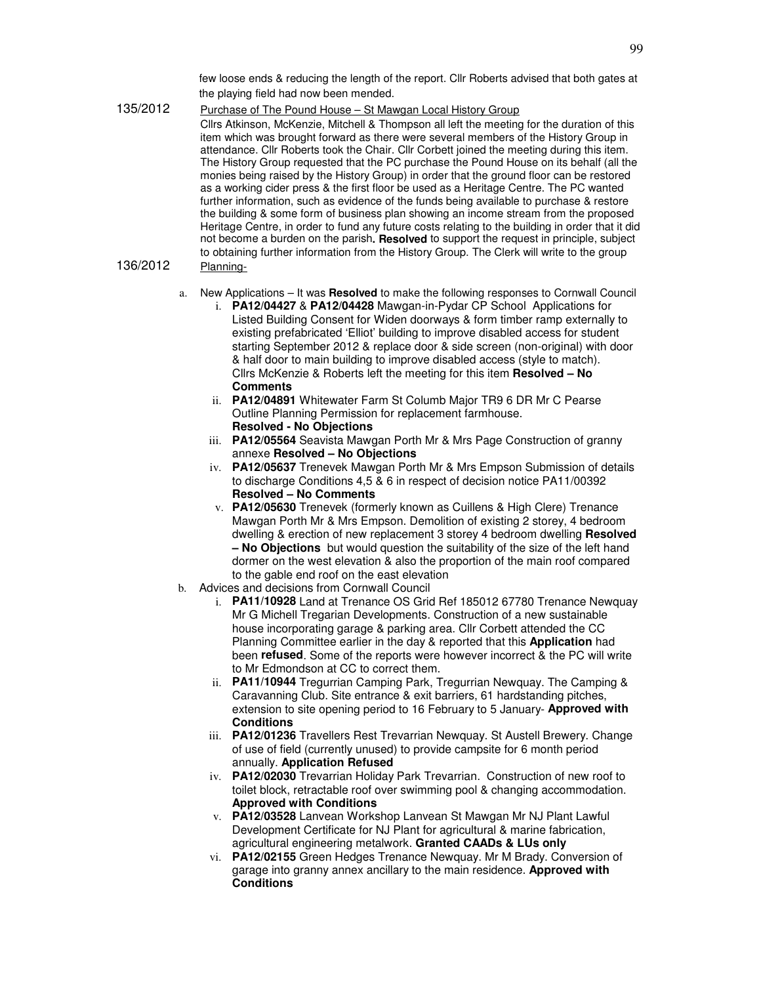few loose ends & reducing the length of the report. Cllr Roberts advised that both gates at the playing field had now been mended.

135/2012 Purchase of The Pound House - St Mawgan Local History Group Cllrs Atkinson, McKenzie, Mitchell & Thompson all left the meeting for the duration of this item which was brought forward as there were several members of the History Group in attendance. Cllr Roberts took the Chair. Cllr Corbett joined the meeting during this item. The History Group requested that the PC purchase the Pound House on its behalf (all the monies being raised by the History Group) in order that the ground floor can be restored as a working cider press & the first floor be used as a Heritage Centre. The PC wanted further information, such as evidence of the funds being available to purchase & restore the building & some form of business plan showing an income stream from the proposed Heritage Centre, in order to fund any future costs relating to the building in order that it did not become a burden on the parish**. Resolved** to support the request in principle, subject to obtaining further information from the History Group. The Clerk will write to the group 136/2012 Planning-

- a. New Applications It was **Resolved** to make the following responses to Cornwall Council
	- i. **PA12/04427** & **PA12/04428** Mawgan-in-Pydar CP School Applications for Listed Building Consent for Widen doorways & form timber ramp externally to existing prefabricated 'Elliot' building to improve disabled access for student starting September 2012 & replace door & side screen (non-original) with door & half door to main building to improve disabled access (style to match). Cllrs McKenzie & Roberts left the meeting for this item **Resolved – No Comments**
	- ii. **PA12/04891** Whitewater Farm St Columb Major TR9 6 DR Mr C Pearse Outline Planning Permission for replacement farmhouse. **Resolved - No Objections**
	- iii. **PA12/05564** Seavista Mawgan Porth Mr & Mrs Page Construction of granny annexe **Resolved – No Objections**
	- iv. **PA12/05637** Trenevek Mawgan Porth Mr & Mrs Empson Submission of details to discharge Conditions 4,5 & 6 in respect of decision notice PA11/00392 **Resolved – No Comments**
	- v. **PA12/05630** Trenevek (formerly known as Cuillens & High Clere) Trenance Mawgan Porth Mr & Mrs Empson. Demolition of existing 2 storey, 4 bedroom dwelling & erection of new replacement 3 storey 4 bedroom dwelling **Resolved – No Objections** but would question the suitability of the size of the left hand dormer on the west elevation & also the proportion of the main roof compared to the gable end roof on the east elevation
- b. Advices and decisions from Cornwall Council
	- i. **PA11/10928** Land at Trenance OS Grid Ref 185012 67780 Trenance Newquay Mr G Michell Tregarian Developments. Construction of a new sustainable house incorporating garage & parking area. Cllr Corbett attended the CC Planning Committee earlier in the day & reported that this **Application** had been **refused**. Some of the reports were however incorrect & the PC will write to Mr Edmondson at CC to correct them.
	- ii. **PA11/10944** Tregurrian Camping Park, Tregurrian Newquay. The Camping & Caravanning Club. Site entrance & exit barriers, 61 hardstanding pitches, extension to site opening period to 16 February to 5 January- **Approved with Conditions**
	- iii. **PA12/01236** Travellers Rest Trevarrian Newquay. St Austell Brewery. Change of use of field (currently unused) to provide campsite for 6 month period annually. **Application Refused**
	- iv. **PA12/02030** Trevarrian Holiday Park Trevarrian. Construction of new roof to toilet block, retractable roof over swimming pool & changing accommodation. **Approved with Conditions**
	- v. **PA12/03528** Lanvean Workshop Lanvean St Mawgan Mr NJ Plant Lawful Development Certificate for NJ Plant for agricultural & marine fabrication, agricultural engineering metalwork. **Granted CAADs & LUs only**
	- vi. **PA12/02155** Green Hedges Trenance Newquay. Mr M Brady. Conversion of garage into granny annex ancillary to the main residence. **Approved with Conditions**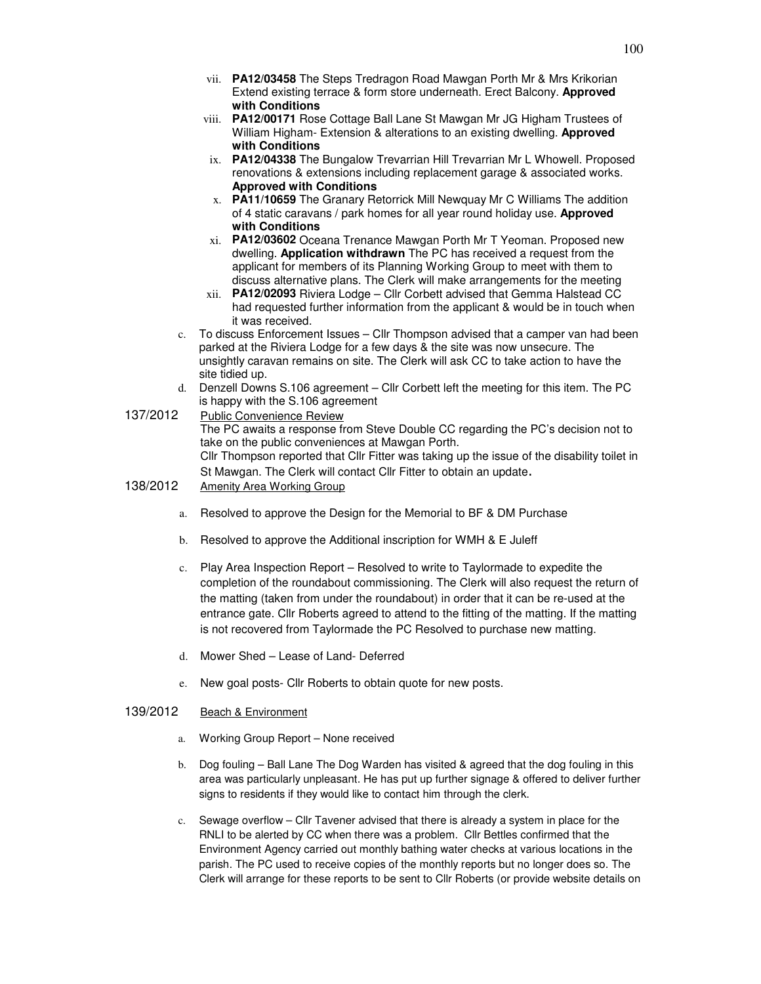- vii. **PA12/03458** The Steps Tredragon Road Mawgan Porth Mr & Mrs Krikorian Extend existing terrace & form store underneath. Erect Balcony. **Approved with Conditions**
- viii. **PA12/00171** Rose Cottage Ball Lane St Mawgan Mr JG Higham Trustees of William Higham- Extension & alterations to an existing dwelling. **Approved with Conditions**
- ix. **PA12/04338** The Bungalow Trevarrian Hill Trevarrian Mr L Whowell. Proposed renovations & extensions including replacement garage & associated works. **Approved with Conditions**
- x. **PA11/10659** The Granary Retorrick Mill Newquay Mr C Williams The addition of 4 static caravans / park homes for all year round holiday use. **Approved with Conditions**
- xi. **PA12/03602** Oceana Trenance Mawgan Porth Mr T Yeoman. Proposed new dwelling. **Application withdrawn** The PC has received a request from the applicant for members of its Planning Working Group to meet with them to discuss alternative plans. The Clerk will make arrangements for the meeting
- xii. **PA12/02093** Riviera Lodge Cllr Corbett advised that Gemma Halstead CC had requested further information from the applicant & would be in touch when it was received.
- c. To discuss Enforcement Issues Cllr Thompson advised that a camper van had been parked at the Riviera Lodge for a few days & the site was now unsecure. The unsightly caravan remains on site. The Clerk will ask CC to take action to have the site tidied up.
- d. Denzell Downs S.106 agreement Cllr Corbett left the meeting for this item. The PC is happy with the S.106 agreement
- 137/2012 Public Convenience Review The PC awaits a response from Steve Double CC regarding the PC's decision not to take on the public conveniences at Mawgan Porth. Cllr Thompson reported that Cllr Fitter was taking up the issue of the disability toilet in St Mawgan. The Clerk will contact Cllr Fitter to obtain an update. 138/2012 Amenity Area Working Group
- - a. Resolved to approve the Design for the Memorial to BF & DM Purchase
	- b. Resolved to approve the Additional inscription for WMH & E Juleff
	- c. Play Area Inspection Report Resolved to write to Taylormade to expedite the completion of the roundabout commissioning. The Clerk will also request the return of the matting (taken from under the roundabout) in order that it can be re-used at the entrance gate. Cllr Roberts agreed to attend to the fitting of the matting. If the matting is not recovered from Taylormade the PC Resolved to purchase new matting.
	- d. Mower Shed Lease of Land- Deferred
	- e. New goal posts- Cllr Roberts to obtain quote for new posts.

## 139/2012 Beach & Environment

- a. Working Group Report None received
- b. Dog fouling Ball Lane The Dog Warden has visited & agreed that the dog fouling in this area was particularly unpleasant. He has put up further signage & offered to deliver further signs to residents if they would like to contact him through the clerk.
- c. Sewage overflow Cllr Tavener advised that there is already a system in place for the RNLI to be alerted by CC when there was a problem. Cllr Bettles confirmed that the Environment Agency carried out monthly bathing water checks at various locations in the parish. The PC used to receive copies of the monthly reports but no longer does so. The Clerk will arrange for these reports to be sent to Cllr Roberts (or provide website details on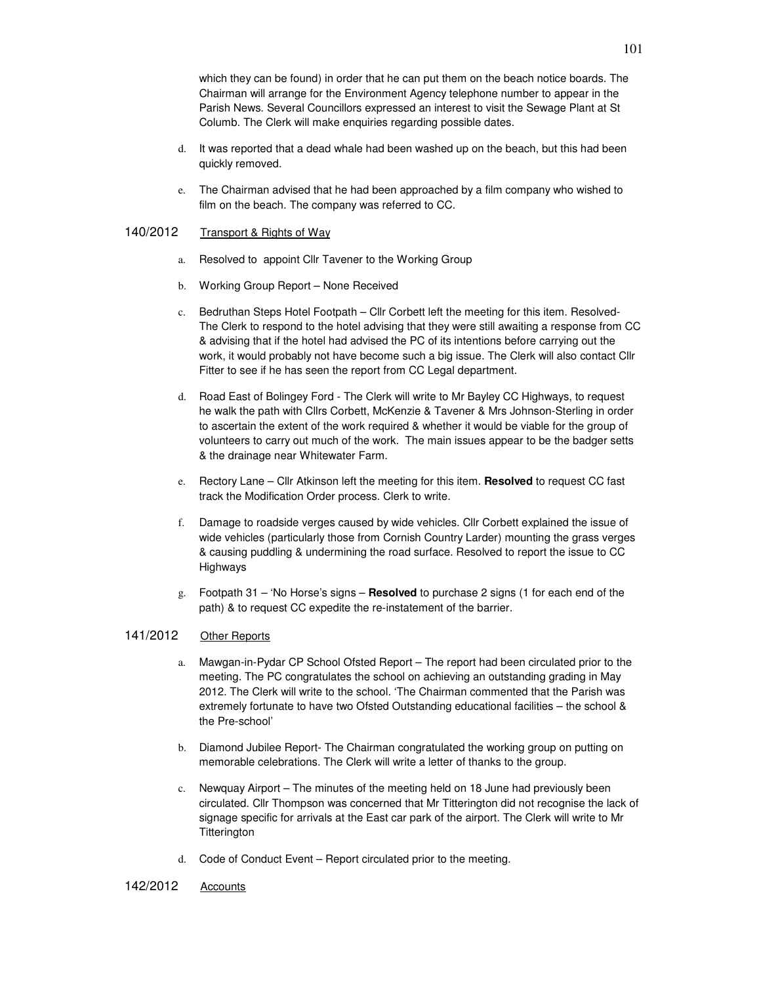which they can be found) in order that he can put them on the beach notice boards. The Chairman will arrange for the Environment Agency telephone number to appear in the Parish News. Several Councillors expressed an interest to visit the Sewage Plant at St Columb. The Clerk will make enquiries regarding possible dates.

- d. It was reported that a dead whale had been washed up on the beach, but this had been quickly removed.
- e. The Chairman advised that he had been approached by a film company who wished to film on the beach. The company was referred to CC.

## 140/2012 Transport & Rights of Way

- a. Resolved to appoint Cllr Tavener to the Working Group
- b. Working Group Report None Received
- c. Bedruthan Steps Hotel Footpath Cllr Corbett left the meeting for this item. Resolved-The Clerk to respond to the hotel advising that they were still awaiting a response from CC & advising that if the hotel had advised the PC of its intentions before carrying out the work, it would probably not have become such a big issue. The Clerk will also contact Cllr Fitter to see if he has seen the report from CC Legal department.
- d. Road East of Bolingey Ford The Clerk will write to Mr Bayley CC Highways, to request he walk the path with Cllrs Corbett, McKenzie & Tavener & Mrs Johnson-Sterling in order to ascertain the extent of the work required & whether it would be viable for the group of volunteers to carry out much of the work. The main issues appear to be the badger setts & the drainage near Whitewater Farm.
- e. Rectory Lane Cllr Atkinson left the meeting for this item. **Resolved** to request CC fast track the Modification Order process. Clerk to write.
- f. Damage to roadside verges caused by wide vehicles. Cllr Corbett explained the issue of wide vehicles (particularly those from Cornish Country Larder) mounting the grass verges & causing puddling & undermining the road surface. Resolved to report the issue to CC Highways
- g. Footpath 31 'No Horse's signs **Resolved** to purchase 2 signs (1 for each end of the path) & to request CC expedite the re-instatement of the barrier.

# 141/2012 Other Reports

- a. Mawgan-in-Pydar CP School Ofsted Report The report had been circulated prior to the meeting. The PC congratulates the school on achieving an outstanding grading in May 2012. The Clerk will write to the school. 'The Chairman commented that the Parish was extremely fortunate to have two Ofsted Outstanding educational facilities – the school & the Pre-school'
- b. Diamond Jubilee Report- The Chairman congratulated the working group on putting on memorable celebrations. The Clerk will write a letter of thanks to the group.
- c. Newquay Airport The minutes of the meeting held on 18 June had previously been circulated. Cllr Thompson was concerned that Mr Titterington did not recognise the lack of signage specific for arrivals at the East car park of the airport. The Clerk will write to Mr **Titterington**
- d. Code of Conduct Event Report circulated prior to the meeting.
- 142/2012 Accounts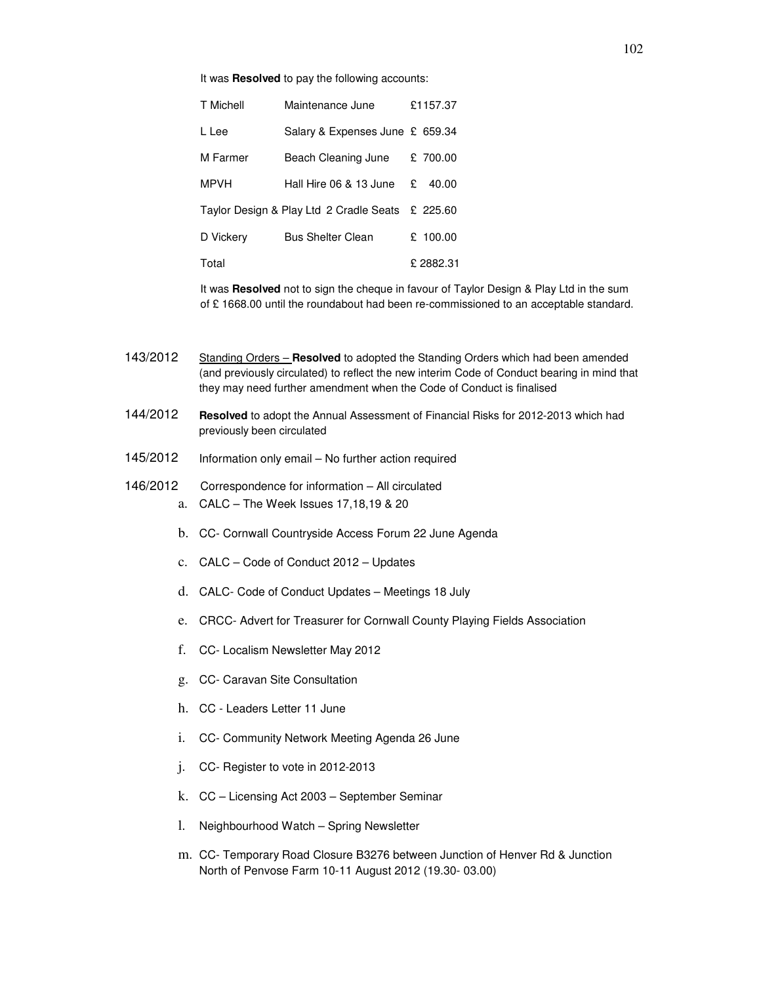It was **Resolved** to pay the following accounts:

| T Michell   | Maintenance June                                 |   | £1157.37 |
|-------------|--------------------------------------------------|---|----------|
| L Lee       | Salary & Expenses June £ 659.34                  |   |          |
| M Farmer    | Beach Cleaning June                              |   | £ 700.00 |
| <b>MPVH</b> | Hall Hire 06 & 13 June                           | £ | 40.00    |
|             | Taylor Design & Play Ltd 2 Cradle Seats £ 225.60 |   |          |
| D Vickery   | <b>Bus Shelter Clean</b>                         |   | £ 100.00 |
| Total       |                                                  |   | £2882.31 |

It was **Resolved** not to sign the cheque in favour of Taylor Design & Play Ltd in the sum of £ 1668.00 until the roundabout had been re-commissioned to an acceptable standard.

143/2012 Standing Orders – **Resolved** to adopted the Standing Orders which had been amended (and previously circulated) to reflect the new interim Code of Conduct bearing in mind that they may need further amendment when the Code of Conduct is finalised

- 144/2012 **Resolved** to adopt the Annual Assessment of Financial Risks for 2012-2013 which had previously been circulated
- 145/2012 Information only email No further action required
- 146/2012 Correspondence for information All circulated a. CALC – The Week Issues 17,18,19 & 20
	- b. CC- Cornwall Countryside Access Forum 22 June Agenda
	- c. CALC Code of Conduct 2012 Updates
	- d. CALC- Code of Conduct Updates Meetings 18 July
	- e. CRCC- Advert for Treasurer for Cornwall County Playing Fields Association
	- f. CC- Localism Newsletter May 2012
	- g. CC- Caravan Site Consultation
	- h. CC Leaders Letter 11 June
	- i. CC- Community Network Meeting Agenda 26 June
	- j. CC- Register to vote in 2012-2013
	- k. CC Licensing Act 2003 September Seminar
	- l. Neighbourhood Watch Spring Newsletter
	- m. CC- Temporary Road Closure B3276 between Junction of Henver Rd & Junction North of Penvose Farm 10-11 August 2012 (19.30- 03.00)